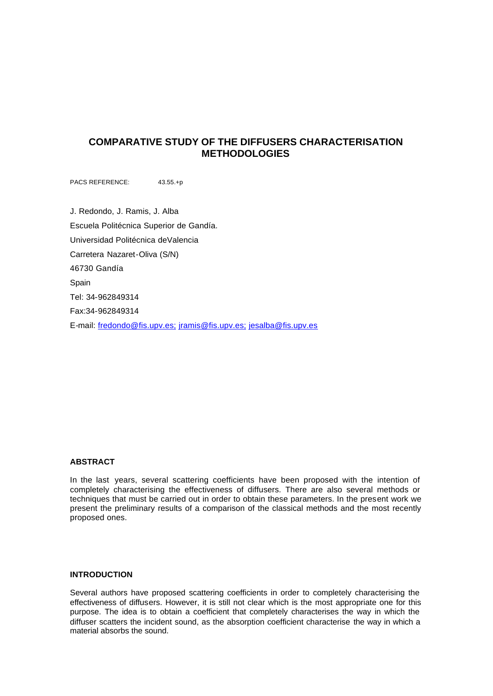# **COMPARATIVE STUDY OF THE DIFFUSERS CHARACTERISATION METHODOLOGIES**

PACS REFERENCE: 43.55.+p

J. Redondo, J. Ramis, J. Alba Escuela Politécnica Superior de Gandía. Universidad Politécnica deValencia Carretera Nazaret-Oliva (S/N) 46730 Gandía Spain Tel: 34-962849314 Fax:34-962849314 E-mail: fredondo@fis.upv.es; jramis@fis.upv.es; jesalba@fis.upv.es

### **ABSTRACT**

In the last years, several scattering coefficients have been proposed with the intention of completely characterising the effectiveness of diffusers. There are also several methods or techniques that must be carried out in order to obtain these parameters. In the present work we present the preliminary results of a comparison of the classical methods and the most recently proposed ones.

# **INTRODUCTION**

Several authors have proposed scattering coefficients in order to completely characterising the effectiveness of diffusers. However, it is still not clear which is the most appropriate one for this purpose. The idea is to obtain a coefficient that completely characterises the way in which the diffuser scatters the incident sound, as the absorption coefficient characterise the way in which a material absorbs the sound.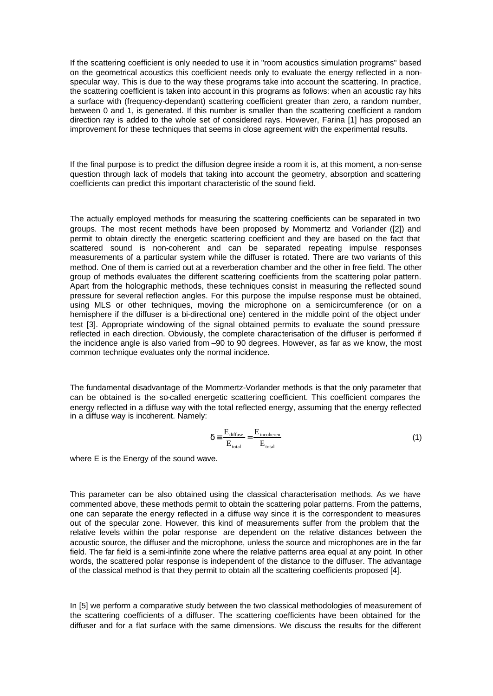If the scattering coefficient is only needed to use it in "room acoustics simulation programs" based on the geometrical acoustics this coefficient needs only to evaluate the energy reflected in a nonspecular way. This is due to the way these programs take into account the scattering. In practice, the scattering coefficient is taken into account in this programs as follows: when an acoustic ray hits a surface with (frequency-dependant) scattering coefficient greater than zero, a random number, between 0 and 1, is generated. If this number is smaller than the scattering coefficient a random direction ray is added to the whole set of considered rays. However, Farina [1] has proposed an improvement for these techniques that seems in close agreement with the experimental results.

If the final purpose is to predict the diffusion degree inside a room it is, at this moment, a non-sense question through lack of models that taking into account the geometry, absorption and scattering coefficients can predict this important characteristic of the sound field.

The actually employed methods for measuring the scattering coefficients can be separated in two groups. The most recent methods have been proposed by Mommertz and Vorlander ([2]) and permit to obtain directly the energetic scattering coefficient and they are based on the fact that scattered sound is non-coherent and can be separated repeating impulse responses measurements of a particular system while the diffuser is rotated. There are two variants of this method. One of them is carried out at a reverberation chamber and the other in free field. The other group of methods evaluates the different scattering coefficients from the scattering polar pattern. Apart from the holographic methods, these techniques consist in measuring the reflected sound pressure for several reflection angles. For this purpose the impulse response must be obtained, using MLS or other techniques, moving the microphone on a semicircumference (or on a hemisphere if the diffuser is a bi-directional one) centered in the middle point of the object under test [3]. Appropriate windowing of the signal obtained permits to evaluate the sound pressure reflected in each direction. Obviously, the complete characterisation of the diffuser is performed if the incidence angle is also varied from –90 to 90 degrees. However, as far as we know, the most common technique evaluates only the normal incidence.

The fundamental disadvantage of the Mommertz-Vorlander methods is that the only parameter that can be obtained is the so-called energetic scattering coefficient. This coefficient compares the energy reflected in a diffuse way with the total reflected energy, assuming that the energy reflected in a diffuse way is incoherent. Namely:

$$
\delta = \frac{E_{\text{diffuse}}}{E_{\text{total}}} = \frac{E_{\text{incoherent}}}{E_{\text{total}}}
$$
(1)

where E is the Energy of the sound wave.

This parameter can be also obtained using the classical characterisation methods. As we have commented above, these methods permit to obtain the scattering polar patterns. From the patterns, one can separate the energy reflected in a diffuse way since it is the correspondent to measures out of the specular zone. However, this kind of measurements suffer from the problem that the relative levels within the polar response are dependent on the relative distances between the acoustic source, the diffuser and the microphone, unless the source and microphones are in the far field. The far field is a semi-infinite zone where the relative patterns area equal at any point. In other words, the scattered polar response is independent of the distance to the diffuser. The advantage of the classical method is that they permit to obtain all the scattering coefficients proposed [4].

In [5] we perform a comparative study between the two classical methodologies of measurement of the scattering coefficients of a diffuser. The scattering coefficients have been obtained for the diffuser and for a flat surface with the same dimensions. We discuss the results for the different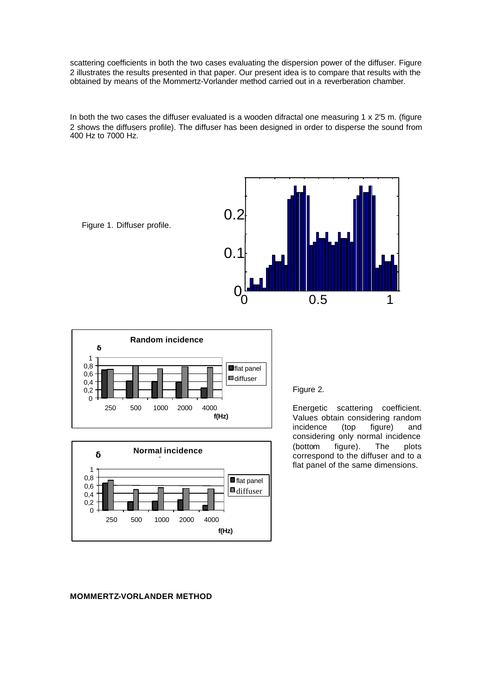scattering coefficients in both the two cases evaluating the dispersion power of the diffuser. Figure 2 illustrates the results presented in that paper. Our present idea is to compare that results with the obtained by means of the Mommertz-Vorlander method carried out in a reverberation chamber.

In both the two cases the diffuser evaluated is a wooden difractal one measuring 1 x 2'5 m. (figure 2 shows the diffusers profile). The diffuser has been designed in order to disperse the sound from 400 Hz to 7000 Hz.







#### Figure 2.

Energetic scattering coefficient. Values obtain considering random incidence (top figure) and considering only normal incidence (bottom figure). The plots correspond to the diffuser and to a flat panel of the same dimensions.

#### **MOMMERTZ-VORLANDER METHOD**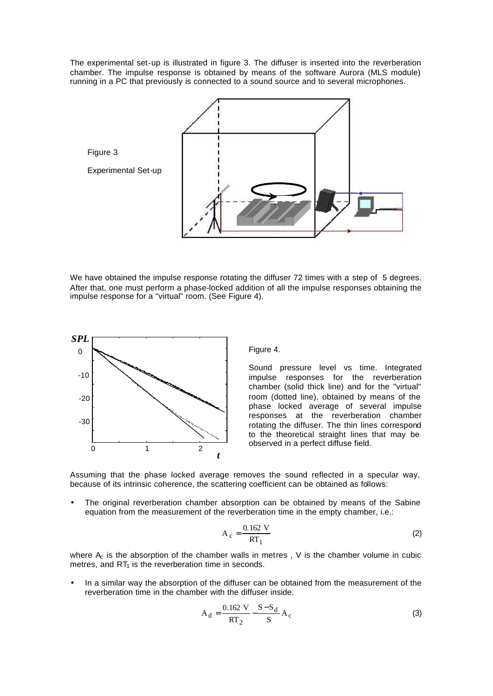The experimental set-up is illustrated in figure 3. The diffuser is inserted into the reverberation chamber. The impulse response is obtained by means of the software Aurora (MLS module) running in a PC that previously is connected to a sound source and to several microphones.



We have obtained the impulse response rotating the diffuser 72 times with a step of 5 degrees. After that, one must perform a phase-locked addition of all the impulse responses obtaining the impulse response for a "virtual" room. (See Figure 4).



Figure 4.

Sound pressure level vs time. Integrated impulse responses for the reverberation chamber (solid thick line) and for the "virtual" room (dotted line), obtained by means of the phase locked average of several impulse responses at the reverberation chamber rotating the diffuser. The thin lines correspond to the theoretical straight lines that may be observed in a perfect diffuse field.

Assuming that the phase locked average removes the sound reflected in a specular way, because of its intrinsic coherence, the scattering coefficient can be obtained as follows:

The original reverberation chamber absorption can be obtained by means of the Sabine equation from the measurement of the reverberation time in the empty chamber, i.e.:

$$
A_c = \frac{0.162 \text{ V}}{RT_1} \tag{2}
$$

where  $A_c$  is the absorption of the chamber walls in metres, V is the chamber volume in cubic metres, and  $RT_1$  is the reverberation time in seconds.

• In a similar way the absorption of the diffuser can be obtained from the measurement of the reverberation time in the chamber with the diffuser inside.

$$
A_d = \frac{0.162 \text{ V}}{RT_2} - \frac{S - S_d}{S} A_c
$$
 (3)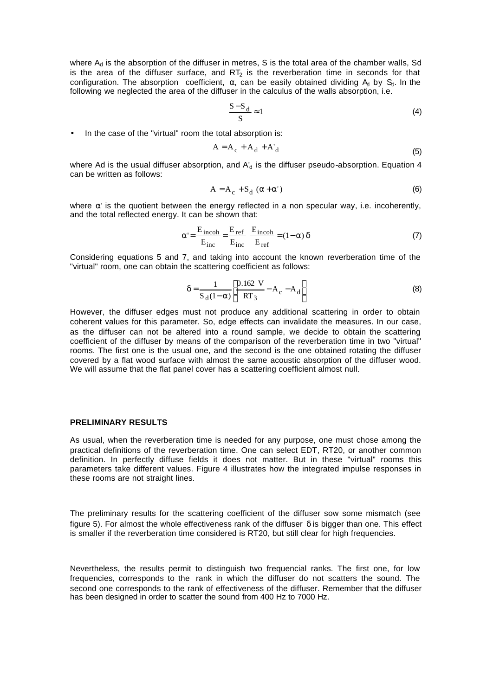where  $A_d$  is the absorption of the diffuser in metres, S is the total area of the chamber walls, Sd is the area of the diffuser surface, and  $RT_2$  is the reverberation time in seconds for that configuration. The absorption coefficient,  $\alpha$ , can be easily obtained dividing  $A_d$  by  $S_d$ . In the following we neglected the area of the diffuser in the calculus of the walls absorption, i.e.

$$
\frac{S-S_d}{S} \approx 1\tag{4}
$$

In the case of the "virtual" room the total absorption is:

$$
A = A_c + A_d + A'_d \tag{5}
$$

where Ad is the usual diffuser absorption, and  $A_d$  is the diffuser pseudo-absorption. Equation 4 can be written as follows:

$$
A = A_c + S_d (\alpha + \alpha')
$$
 (6)

where  $\alpha'$  is the quotient between the energy reflected in a non specular way, i.e. incoherently, and the total reflected energy. It can be shown that:

$$
\alpha' = \frac{E_{\text{incoh}}}{E_{\text{inc}}} = \frac{E_{\text{ref}}}{E_{\text{inc}}} \frac{E_{\text{incoh}}}{E_{\text{ref}}} = (1 - \alpha) \delta \tag{7}
$$

Considering equations 5 and 7, and taking into account the known reverberation time of the "virtual" room, one can obtain the scattering coefficient as follows:

$$
\delta = \frac{1}{S_d (1 - \alpha)} \left[ \frac{0.162 \text{ V}}{RT_3} - A_c - A_d \right]
$$
 (8)

However, the diffuser edges must not produce any additional scattering in order to obtain coherent values for this parameter. So, edge effects can invalidate the measures. In our case, as the diffuser can not be altered into a round sample, we decide to obtain the scattering coefficient of the diffuser by means of the comparison of the reverberation time in two "virtual" rooms. The first one is the usual one, and the second is the one obtained rotating the diffuser covered by a flat wood surface with almost the same acoustic absorption of the diffuser wood. We will assume that the flat panel cover has a scattering coefficient almost null.

#### **PRELIMINARY RESULTS**

As usual, when the reverberation time is needed for any purpose, one must chose among the practical definitions of the reverberation time. One can select EDT, RT20, or another common definition. In perfectly diffuse fields it does not matter. But in these "virtual" rooms this parameters take different values. Figure 4 illustrates how the integrated impulse responses in these rooms are not straight lines.

The preliminary results for the scattering coefficient of the diffuser sow some mismatch (see figure 5). For almost the whole effectiveness rank of the diffuser  $\delta$  is bigger than one. This effect is smaller if the reverberation time considered is RT20, but still clear for high frequencies.

Nevertheless, the results permit to distinguish two frequencial ranks. The first one, for low frequencies, corresponds to the rank in which the diffuser do not scatters the sound. The second one corresponds to the rank of effectiveness of the diffuser. Remember that the diffuser has been designed in order to scatter the sound from 400 Hz to 7000 Hz.